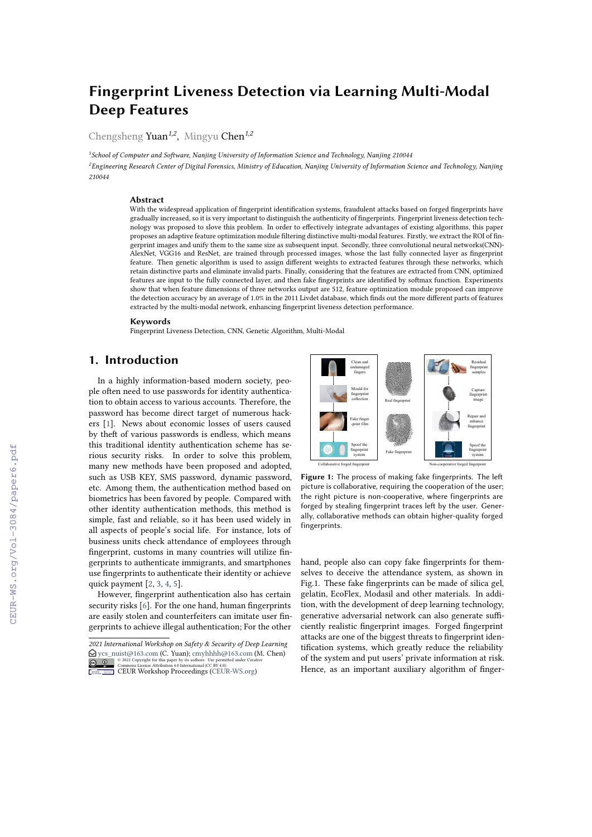# **Fingerprint Liveness Detection via Learning Multi-Modal Deep Features**

Chengsheng Yuan*1,2* , Mingyu Chen*1,2*

*1 School of Computer and Sofware, Nanjing University of Information Science and Technology, Nanjing 210044*  ${}^{2}$ Engineering Research Center of Digital Forensics, Ministry of Education, Nanjing University of Information Science and Technology, Nanjing *210044*

#### **Abstract**

With the widespread application of fngerprint identifcation systems, fraudulent attacks based on forged fngerprints have gradually increased, so it is very important to distinguish the authenticity of fngerprints. Fingerprint liveness detection technology was proposed to slove this problem. In order to efectively integrate advantages of existing algorithms, this paper proposes an adaptive feature optimization module fltering distinctive multi-modal features. Firstly, we extract the ROI of fngerprint images and unify them to the same size as subsequent input. Secondly, three convolutional neural networks(CNN)- AlexNet, VGG16 and ResNet, are trained through processed images, whose the last fully connected layer as fngerprint feature. Then genetic algorithm is used to assign diferent weights to extracted features through these networks, which retain distinctive parts and eliminate invalid parts. Finally, considering that the features are extracted from CNN, optimized features are input to the fully connected layer, and then fake fngerprints are identifed by sofmax function. Experiments show that when feature dimensions of three networks output are 512, feature optimization module proposed can improve the detection accuracy by an average of 1.0% in the 2011 Livdet database, which fnds out the more diferent parts of features extracted by the multi-modal network, enhancing fngerprint liveness detection performance.

#### **Keywords**

Fingerprint Liveness Detection, CNN, Genetic Algorithm, Multi-Modal

## **1. Introduction**

In a highly information-based modern society, people often need to use passwords for identity authentication to obtain access to various accounts. Therefore, the password has become direct target of numerous hackers[[1\]](#page--1-0). News about economic losses of users caused by theft of various passwords is endless, which means this traditional identity authentication scheme has serious security risks. In order to solve this problem, many new methods have been proposed and adopted, such as USB KEY, SMS password, dynamic password, etc. Among them, the authentication method based on biometrics has been favored by people. Compared with other identity authentication methods, this method is simple, fast and reliable, so it has been used widely in all aspects of people's social life. For instance, lots of business units check attendance of employees through fngerprint, customs in many countries will utilize fngerprints to authenticate immigrants, and smartphones use fngerprints to authenticate their identity or achieve quick payment [\[2](#page--1-1), [3,](#page--1-2) [4](#page--1-3), [5\]](#page--1-4).

However, fngerprint authentication also has certain security risks [\[6\]](#page--1-5). For the one hand, human fingerprints are easily stolen and counterfeiters can imitate user fngerprints to achieve illegal authentication; For the other



Figure 1: The process of making fake fingerprints. The left picture is collaborative, requiring the cooperation of the user; the right picture is non-cooperative, where fingerprints are forged by stealing fingerprint traces left by the user. Generally, collaborative methods can obtain higher-quality forged fingerprints.

hand, people also can copy fake fngerprints for themselves to deceive the attendance system, as shown in Fig.1. These fake fngerprints can be made of silica gel, gelatin, EcoFlex, Modasil and other materials. In addition, with the development of deep learning technology, generative adversarial network can also generate sufficiently realistic fngerprint images. Forged fngerprint attacks are one of the biggest threats to fngerprint identifcation systems, which greatly reduce the reliability of the system and put users' private information at risk. Hence, as an important auxiliary algorithm of finger-

*<sup>2021</sup> International Workshop on Safety & Security of Deep Learning*  $\bigcirc$  [ycs\\_nuist@163.com](mailto:ycs\protect \TU _nuist@163.com) (C. Yuan); [cmyhhhh@163.com](mailto:cmyhhhh@163.com) (M. Chen) © 2021 Copyright for this paper by its authors. Use permitted under Creative

Commons License Attribution 4.0 International (CC BY 4.0).<br>ELIR Workshop Proceedings [\(CEUR-WS.org](http://ceur-ws.org)) Workshop **Common** [Proceedings](http://ceur-ws.org)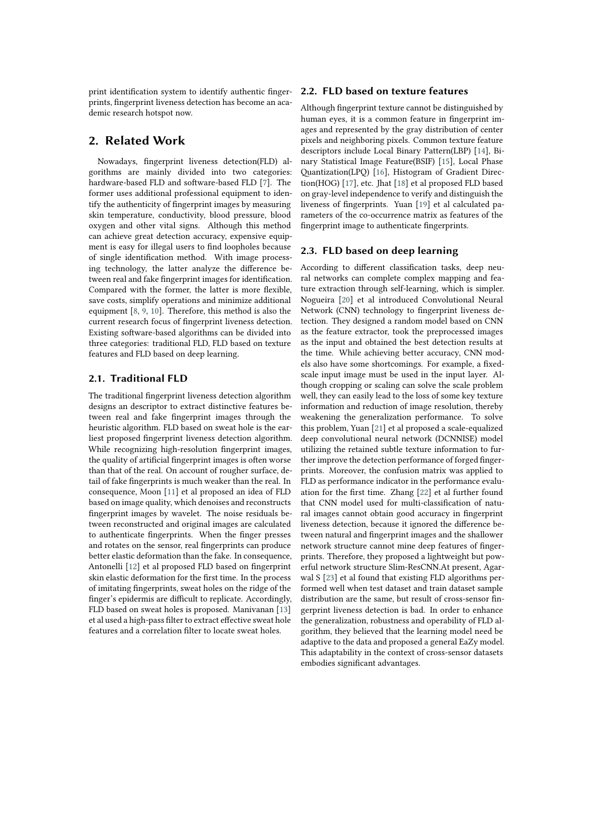print identifcation system to identify authentic fngerprints, fngerprint liveness detection has become an academic research hotspot now.

### **2. Related Work**

Nowadays, fngerprint liveness detection(FLD) algorithms are mainly divided into two categories: hardware-based FLD and software-based FLD [\[7\]](#page-5-0). The former uses additional professional equipment to identify the authenticity of fngerprint images by measuring skin temperature, conductivity, blood pressure, blood oxygen and other vital signs. Although this method can achieve great detection accuracy, expensive equipment is easy for illegal users to fnd loopholes because of single identifcation method. With image processing technology, the latter analyze the diference between real and fake fngerprint images for identifcation. Compared with the former, the latter is more fexible, save costs, simplify operations and minimize additional equipment [\[8](#page-5-1), [9,](#page-5-2) [10\]](#page-5-3). Therefore, this method is also the current research focus of fngerprint liveness detection. Existing sofware-based algorithms can be divided into three categories: traditional FLD, FLD based on texture features and FLD based on deep learning.

#### **2.1. Traditional FLD**

The traditional fngerprint liveness detection algorithm designs an descriptor to extract distinctive features between real and fake fngerprint images through the heuristic algorithm. FLD based on sweat hole is the earliest proposed fngerprint liveness detection algorithm. While recognizing high-resolution fngerprint images, the quality of artificial fingerprint images is often worse than that of the real. On account of rougher surface, detail of fake fngerprints is much weaker than the real. In consequence, Moon [\[11\]](#page-5-4) et al proposed an idea of FLD based on image quality, which denoises and reconstructs fngerprint images by wavelet. The noise residuals between reconstructed and original images are calculated to authenticate fngerprints. When the fnger presses and rotates on the sensor, real fngerprints can produce better elastic deformation than the fake. In consequence, Antonelli [\[12\]](#page-5-5) et al proposed FLD based on fngerprint skin elastic deformation for the frst time. In the process of imitating fngerprints, sweat holes on the ridge of the finger's epidermis are difficult to replicate. Accordingly, FLD based on sweat holes is proposed. Manivanan [\[13](#page-5-6)] et al used a high-pass flter to extract efective sweat hole features and a correlation flter to locate sweat holes.

#### **2.2. FLD based on texture features**

Although fngerprint texture cannot be distinguished by human eyes, it is a common feature in fngerprint images and represented by the gray distribution of center pixels and neighboring pixels. Common texture feature descriptors include Local Binary Pattern(LBP)[[14](#page-6-0)], Binary Statistical Image Feature(BSIF) [\[15](#page-6-1)], Local Phase Quantization(LPQ) [\[16\]](#page-6-2), Histogram of Gradient Direction(HOG) [\[17\]](#page-6-3), etc. Jhat [\[18\]](#page-6-4) et al proposed FLD based on gray-level independence to verify and distinguish the liveness of fngerprints. Yuan [\[19\]](#page-6-5) et al calculated parameters of the co-occurrence matrix as features of the fngerprint image to authenticate fngerprints.

#### **2.3. FLD based on deep learning**

According to diferent classifcation tasks, deep neural networks can complete complex mapping and feature extraction through self-learning, which is simpler. Nogueira[[20](#page-6-6)] et al introduced Convolutional Neural Network (CNN) technology to fngerprint liveness detection. They designed a random model based on CNN as the feature extractor, took the preprocessed images as the input and obtained the best detection results at the time. While achieving better accuracy, CNN models also have some shortcomings. For example, a fxedscale input image must be used in the input layer. Although cropping or scaling can solve the scale problem well, they can easily lead to the loss of some key texture information and reduction of image resolution, thereby weakening the generalization performance. To solve this problem, Yuan[[21](#page-6-7)] et al proposed a scale-equalized deep convolutional neural network (DCNNISE) model utilizing the retained subtle texture information to further improve the detection performance of forged fngerprints. Moreover, the confusion matrix was applied to FLD as performance indicator in the performance evaluation for the frst time. Zhang [\[22\]](#page-6-8) et al further found that CNN model used for multi-classifcation of natural images cannot obtain good accuracy in fngerprint liveness detection, because it ignored the diference between natural and fngerprint images and the shallower network structure cannot mine deep features of fngerprints. Therefore, they proposed a lightweight but powerful network structure Slim-ResCNN.At present, Agarwal S[[23](#page-6-9)] et al found that existing FLD algorithms performed well when test dataset and train dataset sample distribution are the same, but result of cross-sensor fngerprint liveness detection is bad. In order to enhance the generalization, robustness and operability of FLD algorithm, they believed that the learning model need be adaptive to the data and proposed a general EaZy model. This adaptability in the context of cross-sensor datasets embodies signifcant advantages.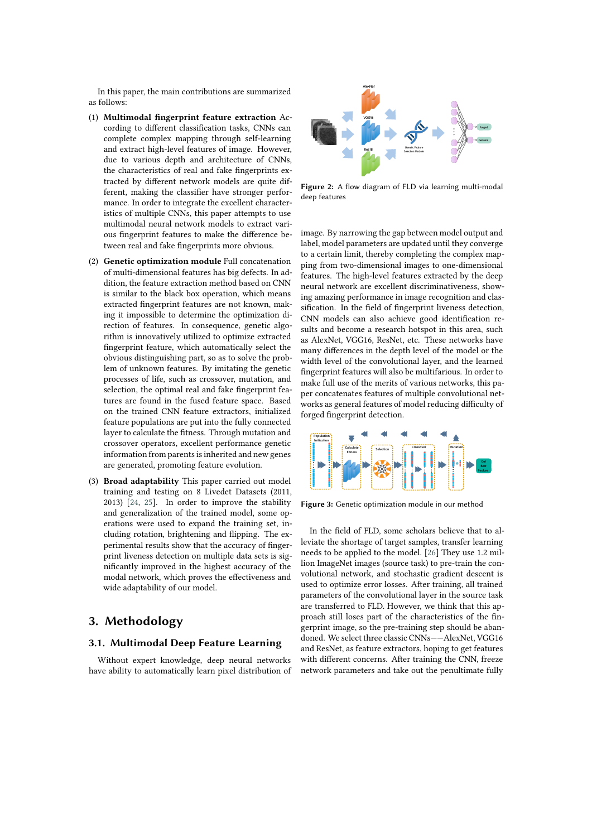In this paper, the main contributions are summarized as follows:

- (1) **Multimodal fngerprint feature extraction** According to diferent classifcation tasks, CNNs can complete complex mapping through self-learning and extract high-level features of image. However, due to various depth and architecture of CNNs, the characteristics of real and fake fngerprints extracted by diferent network models are quite different, making the classifer have stronger performance. In order to integrate the excellent characteristics of multiple CNNs, this paper attempts to use multimodal neural network models to extract various fngerprint features to make the diference between real and fake fngerprints more obvious.
- (2) **Genetic optimization module** Full concatenation of multi-dimensional features has big defects. In addition, the feature extraction method based on CNN is similar to the black box operation, which means extracted fngerprint features are not known, making it impossible to determine the optimization direction of features. In consequence, genetic algorithm is innovatively utilized to optimize extracted fngerprint feature, which automatically select the obvious distinguishing part, so as to solve the problem of unknown features. By imitating the genetic processes of life, such as crossover, mutation, and selection, the optimal real and fake fngerprint features are found in the fused feature space. Based on the trained CNN feature extractors, initialized feature populations are put into the fully connected layer to calculate the ftness. Through mutation and crossover operators, excellent performance genetic information from parents is inherited and new genes are generated, promoting feature evolution.
- (3) **Broad adaptability** This paper carried out model training and testing on 8 Livedet Datasets (2011, 2013)[[24](#page-6-10), [25](#page-6-11)]. In order to improve the stability and generalization of the trained model, some operations were used to expand the training set, including rotation, brightening and fipping. The experimental results show that the accuracy of fngerprint liveness detection on multiple data sets is signifcantly improved in the highest accuracy of the modal network, which proves the efectiveness and wide adaptability of our model.

# **3. Methodology**

#### **3.1. Multimodal Deep Feature Learning**

Without expert knowledge, deep neural networks have ability to automatically learn pixel distribution of



**Figure 2:** A flow diagram of FLD via learning multi-modal deep features

image. By narrowing the gap between model output and label, model parameters are updated until they converge to a certain limit, thereby completing the complex mapping from two-dimensional images to one-dimensional features. The high-level features extracted by the deep neural network are excellent discriminativeness, showing amazing performance in image recognition and classifcation. In the feld of fngerprint liveness detection, CNN models can also achieve good identifcation results and become a research hotspot in this area, such as AlexNet, VGG16, ResNet, etc. These networks have many diferences in the depth level of the model or the width level of the convolutional layer, and the learned fngerprint features will also be multifarious. In order to make full use of the merits of various networks, this paper concatenates features of multiple convolutional networks as general features of model reducing difficulty of forged fngerprint detection.



**Figure 3:** Genetic optimization module in our method

In the feld of FLD, some scholars believe that to alleviate the shortage of target samples, transfer learning needs to be applied to the model. [\[26](#page-6-12)] They use 1.2 million ImageNet images (source task) to pre-train the convolutional network, and stochastic gradient descent is used to optimize error losses. Afer training, all trained parameters of the convolutional layer in the source task are transferred to FLD. However, we think that this approach still loses part of the characteristics of the fngerprint image, so the pre-training step should be abandoned. We select three classic CNNs——AlexNet, VGG16 and ResNet, as feature extractors, hoping to get features with diferent concerns. Afer training the CNN, freeze network parameters and take out the penultimate fully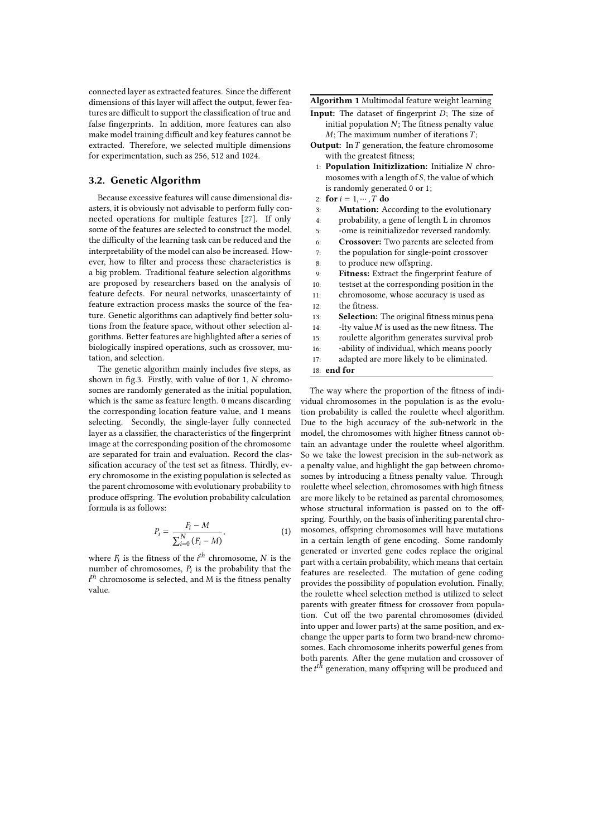connected layer as extracted features. Since the diferent dimensions of this layer will afect the output, fewer features are difficult to support the classification of true and false fngerprints. In addition, more features can also make model training difficult and key features cannot be extracted. Therefore, we selected multiple dimensions for experimentation, such as 256, 512 and 1024.

#### **3.2. Genetic Algorithm**

Because excessive features will cause dimensional disasters, it is obviously not advisable to perform fully connected operations for multiple features[[27\]](#page-6-13). If only some of the features are selected to construct the model, the difficulty of the learning task can be reduced and the interpretability of the model can also be increased. However, how to flter and process these characteristics is a big problem. Traditional feature selection algorithms are proposed by researchers based on the analysis of feature defects. For neural networks, unascertainty of feature extraction process masks the source of the feature. Genetic algorithms can adaptively fnd better solutions from the feature space, without other selection algorithms. Better features are highlighted after a series of biologically inspired operations, such as crossover, mutation, and selection.

The genetic algorithm mainly includes fve steps, as shown in fig.3. Firstly, with value of 0or 1,  $N$  chromosomes are randomly generated as the initial population, which is the same as feature length. 0 means discarding the corresponding location feature value, and 1 means selecting. Secondly, the single-layer fully connected layer as a classifer, the characteristics of the fngerprint image at the corresponding position of the chromosome are separated for train and evaluation. Record the classifcation accuracy of the test set as ftness. Thirdly, every chromosome in the existing population is selected as the parent chromosome with evolutionary probability to produce ofspring. The evolution probability calculation formula is as follows:

$$
P_i = \frac{F_i - M}{\sum_{i=0}^{N} (F_i - M)},
$$
\n(1)

where  $F_i$  is the fitness of the  $i^{th}$  chromosome, N is the number of chromosomes,  $P_i$  is the probability that the  $i<sup>th</sup>$  chromosome is selected, and M is the fitness penalty value.

**Algorithm 1** Multimodal feature weight learning

- **Input:** The dataset of fingerprint  $D$ ; The size of initial population  $N$ ; The fitness penalty value  $M$ : The maximum number of iterations  $T$ :
- **Output:** In *T* generation, the feature chromosome with the greatest ftness;
	- 1: **Population Initizlization:** Initialize N chromosomes with a length of  $S$ , the value of which is randomly generated 0 or 1;
	- 2: **for**  $i = 1, ..., T$  **do**
- 3: **Mutation:** According to the evolutionary
- 4: probability, a gene of length L in chromos
- 5: -ome is reinitializedor reversed randomly.
- 6: **Crossover:** Two parents are selected from
- 7: the population for single-point crossover
- 8: to produce new offspring.
- 9: **Fitness:** Extract the fngerprint feature of
- 10: testset at the corresponding position in the
- 11: chromosome, whose accuracy is used as 12: the ftness.
- 13: **Selection:** The original ftness minus pena
- 14:  $-lty$  value  $M$  is used as the new fitness. The
- 15: roulette algorithm generates survival prob
- 16: -ability of individual, which means poorly
- 17: adapted are more likely to be eliminated.
- 18: **end for**

The way where the proportion of the ftness of individual chromosomes in the population is as the evolution probability is called the roulette wheel algorithm. Due to the high accuracy of the sub-network in the model, the chromosomes with higher ftness cannot obtain an advantage under the roulette wheel algorithm. So we take the lowest precision in the sub-network as a penalty value, and highlight the gap between chromosomes by introducing a ftness penalty value. Through roulette wheel selection, chromosomes with high ftness are more likely to be retained as parental chromosomes, whose structural information is passed on to the offspring. Fourthly, on the basis of inheriting parental chromosomes, ofspring chromosomes will have mutations in a certain length of gene encoding. Some randomly generated or inverted gene codes replace the original part with a certain probability, which means that certain features are reselected. The mutation of gene coding provides the possibility of population evolution. Finally, the roulette wheel selection method is utilized to select parents with greater ftness for crossover from population. Cut off the two parental chromosomes (divided into upper and lower parts) at the same position, and exchange the upper parts to form two brand-new chromosomes. Each chromosome inherits powerful genes from both parents. Afer the gene mutation and crossover of the  $t^{th}$  generation, many offspring will be produced and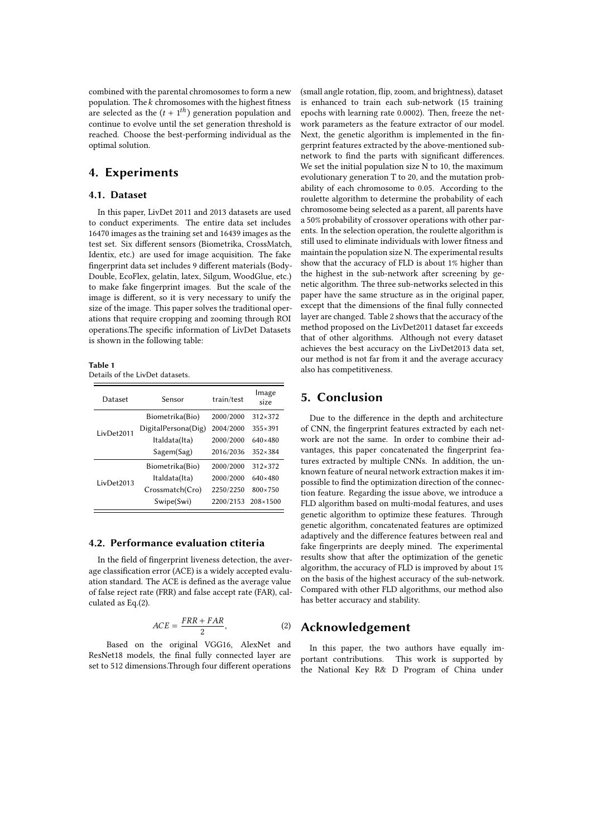combined with the parental chromosomes to form a new population. The  $k$  chromosomes with the highest fitness are selected as the  $(t + 1<sup>th</sup>)$  generation population and continue to evolve until the set generation threshold is reached. Choose the best-performing individual as the optimal solution.

# **4. Experiments**

#### **4.1. Dataset**

In this paper, LivDet 2011 and 2013 datasets are used to conduct experiments. The entire data set includes 16470 images as the training set and 16439 images as the test set. Six diferent sensors (Biometrika, CrossMatch, Identix, etc.) are used for image acquisition. The fake fngerprint data set includes 9 diferent materials (Body-Double, EcoFlex, gelatin, latex, Silgum, WoodGlue, etc.) to make fake fngerprint images. But the scale of the image is diferent, so it is very necessary to unify the size of the image. This paper solves the traditional operations that require cropping and zooming through ROI operations.The specifc information of LivDet Datasets is shown in the following table:

**Table 1** Details of the LivDet datasets.

| Dataset    | Sensor              | train/test | Image<br>size     |  |
|------------|---------------------|------------|-------------------|--|
| LivDet2011 | Biometrika(Bio)     | 2000/2000  | $312 \times 372$  |  |
|            | DigitalPersona(Dig) | 2004/2000  | $355 \times 391$  |  |
|            | Italdata(Ita)       | 2000/2000  | 640×480           |  |
|            | Sagem(Sag)          | 2016/2036  | $352 \times 384$  |  |
| LivDet2013 | Biometrika(Bio)     | 2000/2000  | $312 \times 372$  |  |
|            | Italdata(Ita)       | 2000/2000  | $640 \times 480$  |  |
|            | Crossmatch(Cro)     | 2250/2250  | $800 \times 750$  |  |
|            | Swipe(Swi)          | 2200/2153  | $208 \times 1500$ |  |

#### **4.2. Performance evaluation ctiteria**

In the feld of fngerprint liveness detection, the average classifcation error (ACE) is a widely accepted evaluation standard. The ACE is defned as the average value of false reject rate (FRR) and false accept rate (FAR), calculated as Eq.(2).

$$
ACE = \frac{FRR + FAR}{2},\tag{2}
$$

Based on the original VGG16, AlexNet and ResNet18 models, the fnal fully connected layer are set to 512 dimensions.Through four diferent operations (small angle rotation, fip, zoom, and brightness), dataset is enhanced to train each sub-network (15 training epochs with learning rate 0.0002). Then, freeze the network parameters as the feature extractor of our model. Next, the genetic algorithm is implemented in the fngerprint features extracted by the above-mentioned subnetwork to fnd the parts with signifcant diferences. We set the initial population size N to 10, the maximum evolutionary generation T to 20, and the mutation probability of each chromosome to 0.05. According to the roulette algorithm to determine the probability of each chromosome being selected as a parent, all parents have a 50% probability of crossover operations with other parents. In the selection operation, the roulette algorithm is still used to eliminate individuals with lower ftness and maintain the population size N. The experimental results show that the accuracy of FLD is about 1% higher than the highest in the sub-network after screening by genetic algorithm. The three sub-networks selected in this paper have the same structure as in the original paper, except that the dimensions of the fnal fully connected layer are changed. Table 2 shows that the accuracy of the method proposed on the LivDet2011 dataset far exceeds that of other algorithms. Although not every dataset achieves the best accuracy on the LivDet2013 data set, our method is not far from it and the average accuracy also has competitiveness.

## **5. Conclusion**

Due to the diference in the depth and architecture of CNN, the fngerprint features extracted by each network are not the same. In order to combine their advantages, this paper concatenated the fngerprint features extracted by multiple CNNs. In addition, the unknown feature of neural network extraction makes it impossible to fnd the optimization direction of the connection feature. Regarding the issue above, we introduce a FLD algorithm based on multi-modal features, and uses genetic algorithm to optimize these features. Through genetic algorithm, concatenated features are optimized adaptively and the diference features between real and fake fngerprints are deeply mined. The experimental results show that afer the optimization of the genetic algorithm, the accuracy of FLD is improved by about 1% on the basis of the highest accuracy of the sub-network. Compared with other FLD algorithms, our method also has better accuracy and stability.

### **Acknowledgement**

In this paper, the two authors have equally important contributions. This work is supported by the National Key R& D Program of China under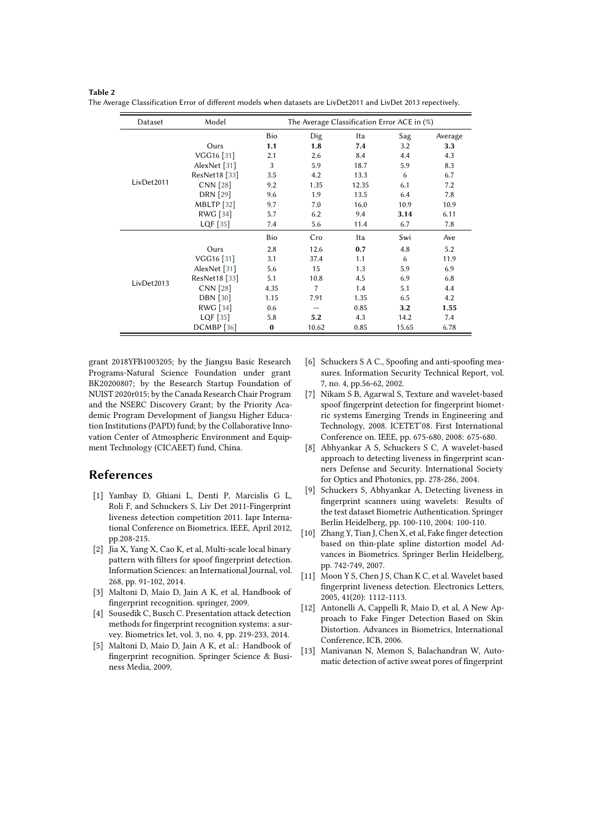| Dataset    | Model             | The Average Classification Error ACE in $(\%)$ |      |       |      |         |
|------------|-------------------|------------------------------------------------|------|-------|------|---------|
|            |                   | Bio                                            | Dig  | Ita   | Sag  | Average |
| LivDet2011 | Ours              | 1.1                                            | 1.8  | 7.4   | 3.2  | 3.3     |
|            | VGG16 [31]        | 2.1                                            | 2.6  | 8.4   | 4.4  | 4.3     |
|            | AlexNet [31]      | 3                                              | 5.9  | 18.7  | 5.9  | 8.3     |
|            | ResNet18 [33]     | 3.5                                            | 4.2  | 13.3  | 6    | 6.7     |
|            | CNN [28]          | 9.2                                            | 1.35 | 12.35 | 6.1  | 7.2     |
|            | <b>DRN</b> [29]   | 9.6                                            | 1.9  | 13.5  | 6.4  | 7.8     |
|            | <b>MBLTP</b> [32] | 9.7                                            | 7.0  | 16.0  | 10.9 | 10.9    |
|            | RWG [34]          | 5.7                                            | 6.2  | 9.4   | 3.14 | 6.11    |
|            | LQF $[35]$        | 7.4                                            | 5.6  | 11.4  | 6.7  | 7.8     |
|            |                   | Bio                                            | Cro  | Ita   | Swi  | Ave     |
| LivDet2013 | Ours              | 2.8                                            | 12.6 | 0.7   | 4.8  | 5.2     |
|            | VGG16 [31]        | 3.1                                            | 37.4 | 1.1   | 6    | 11.9    |
|            | AlexNet [31]      | 5.6                                            | 15   | 1.3   | 5.9  | 6.9     |
|            | ResNet18 [33]     | 5.1                                            | 10.8 | 4.5   | 6.9  | 6.8     |
|            | CNN [28]          | 4.35                                           | 7    | 1.4   | 5.1  | 4.4     |
|            | <b>DBN</b> [30]   | 1.15                                           | 7.91 | 1.35  | 6.5  | 4.2     |
|            | RWG [34]          | 0.6                                            |      | 0.85  | 3.2  | 1.55    |
|            | LQF $[35]$        | 5.8                                            | 5.2  | 4.3   | 14.2 | 7.4     |

DCMBP[[36](#page-6-22)] **0** 10.62 0.85 15.65 6.78

**Table 2** The Average Classification Error of different models when datasets are LivDet2011 and LivDet 2013 repectively.

grant 2018YFB1003205; by the Jiangsu Basic Research Programs-Natural Science Foundation under grant BK20200807; by the Research Startup Foundation of NUIST 2020r015; by the Canada Research Chair Program and the NSERC Discovery Grant; by the Priority Academic Program Development of Jiangsu Higher Education Institutions (PAPD) fund; by the Collaborative Innovation Center of Atmospheric Environment and Equipment Technology (CICAEET) fund, China.

# **References**

- [1] Yambay D, Ghiani L, Denti P, Marcislis G L, Roli F, and Schuckers S, Liv Det 2011-Fingerprint liveness detection competition 2011. Iapr International Conference on Biometrics. IEEE, April 2012, pp.208-215.
- [2] Jia X, Yang X, Cao K, et al, Multi-scale local binary pattern with flters for spoof fngerprint detection. Information Sciences: an International Journal, vol. 268, pp. 91-102, 2014.
- [3] Maltoni D, Maio D, Jain A K, et al, Handbook of fngerprint recognition. springer, 2009.
- [4] Sousedik C, Busch C. Presentation attack detection methods for fngerprint recognition systems: a survey. Biometrics Iet, vol. 3, no. 4, pp. 219-233, 2014.
- [5] Maltoni D, Maio D, Jain A K, et al.: Handbook of fngerprint recognition. Springer Science & Business Media, 2009.
- [6] Schuckers S A C., Spoofng and anti-spoofng measures. Information Security Technical Report, vol. 7, no. 4, pp.56-62, 2002.
- <span id="page-5-0"></span>[7] Nikam S B, Agarwal S, Texture and wavelet-based spoof fngerprint detection for fngerprint biometric systems Emerging Trends in Engineering and Technology, 2008. ICETET'08. First International Conference on. IEEE, pp. 675-680, 2008: 675-680.
- <span id="page-5-1"></span>[8] Abhyankar A S, Schuckers S C, A wavelet-based approach to detecting liveness in fngerprint scanners Defense and Security. International Society for Optics and Photonics, pp. 278-286, 2004.
- <span id="page-5-2"></span>[9] Schuckers S, Abhyankar A, Detecting liveness in fngerprint scanners using wavelets: Results of the test dataset Biometric Authentication. Springer Berlin Heidelberg, pp. 100-110, 2004: 100-110.
- <span id="page-5-3"></span>[10] Zhang Y, Tian J, Chen X, et al, Fake finger detection based on thin-plate spline distortion model Advances in Biometrics. Springer Berlin Heidelberg, pp. 742-749, 2007.
- <span id="page-5-4"></span>[11] Moon Y S, Chen J S, Chan K C, et al. Wavelet based fngerprint liveness detection. Electronics Letters, 2005, 41(20): 1112-1113.
- <span id="page-5-5"></span>[12] Antonelli A, Cappelli R, Maio D, et al, A New Approach to Fake Finger Detection Based on Skin Distortion. Advances in Biometrics, International Conference, ICB, 2006.
- <span id="page-5-6"></span>[13] Manivanan N, Memon S, Balachandran W, Automatic detection of active sweat pores of fngerprint